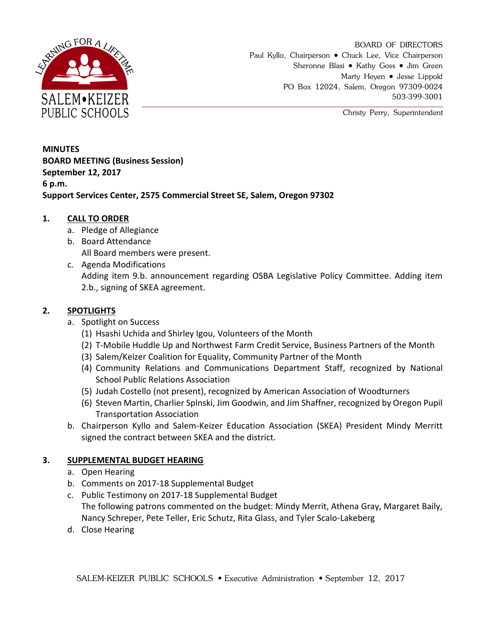

BOARD OF DIRECTORS Paul Kyllo, Chairperson • Chuck Lee, Vice Chairperson Sheronne Blasi • Kathy Goss • Jim Green Marty Heyen • Jesse Lippold PO Box 12024, Salem, Oregon 97309-0024 503-399-3001

Christy Perry, Superintendent

**MINUTES BOARD MEETING (Business Session) September 12, 2017 6 p.m. Support Services Center, 2575 Commercial Street SE, Salem, Oregon 97302**

## **1. CALL TO ORDER**

- a. Pledge of Allegiance
- b. Board Attendance All Board members were present.
- c. Agenda Modifications Adding item 9.b. announcement regarding OSBA Legislative Policy Committee. Adding item 2.b., signing of SKEA agreement.

## **2. SPOTLIGHTS**

- a. Spotlight on Success
	- (1) Hsashi Uchida and Shirley Igou, Volunteers of the Month
	- (2) T-Mobile Huddle Up and Northwest Farm Credit Service, Business Partners of the Month
	- (3) Salem/Keizer Coalition for Equality, Community Partner of the Month
	- (4) Community Relations and Communications Department Staff, recognized by National School Public Relations Association
	- (5) Judah Costello (not present), recognized by American Association of Woodturners
	- (6) Steven Martin, Charlier Splnski, Jim Goodwin, and Jim Shaffner, recognized by Oregon Pupil Transportation Association
- b. Chairperson Kyllo and Salem-Keizer Education Association (SKEA) President Mindy Merritt signed the contract between SKEA and the district.

### **3. SUPPLEMENTAL BUDGET HEARING**

- a. Open Hearing
- b. Comments on 2017-18 Supplemental Budget
- c. Public Testimony on 2017-18 Supplemental Budget The following patrons commented on the budget: Mindy Merrit, Athena Gray, Margaret Baily, Nancy Schreper, Pete Teller, Eric Schutz, Rita Glass, and Tyler Scalo-Lakeberg
- d. Close Hearing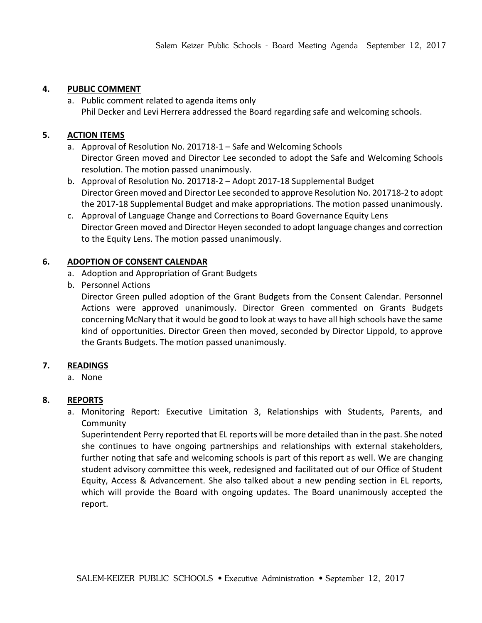## **4. PUBLIC COMMENT**

a. Public comment related to agenda items only Phil Decker and Levi Herrera addressed the Board regarding safe and welcoming schools.

## **5. ACTION ITEMS**

- a. Approval of Resolution No. 201718-1 Safe and Welcoming Schools Director Green moved and Director Lee seconded to adopt the Safe and Welcoming Schools resolution. The motion passed unanimously.
- b. Approval of Resolution No. 201718-2 Adopt 2017-18 Supplemental Budget Director Green moved and Director Lee seconded to approve Resolution No. 201718-2 to adopt the 2017-18 Supplemental Budget and make appropriations. The motion passed unanimously.
- c. Approval of Language Change and Corrections to Board Governance Equity Lens Director Green moved and Director Heyen seconded to adopt language changes and correction to the Equity Lens. The motion passed unanimously.

## **6. ADOPTION OF CONSENT CALENDAR**

- a. Adoption and Appropriation of Grant Budgets
- b. Personnel Actions

Director Green pulled adoption of the Grant Budgets from the Consent Calendar. Personnel Actions were approved unanimously. Director Green commented on Grants Budgets concerning McNary that it would be good to look at ways to have all high schools have the same kind of opportunities. Director Green then moved, seconded by Director Lippold, to approve the Grants Budgets. The motion passed unanimously.

# **7. READINGS**

a. None

# **8. REPORTS**

a. Monitoring Report: Executive Limitation 3, Relationships with Students, Parents, and Community

Superintendent Perry reported that EL reports will be more detailed than in the past. She noted she continues to have ongoing partnerships and relationships with external stakeholders, further noting that safe and welcoming schools is part of this report as well. We are changing student advisory committee this week, redesigned and facilitated out of our Office of Student Equity, Access & Advancement. She also talked about a new pending section in EL reports, which will provide the Board with ongoing updates. The Board unanimously accepted the report.